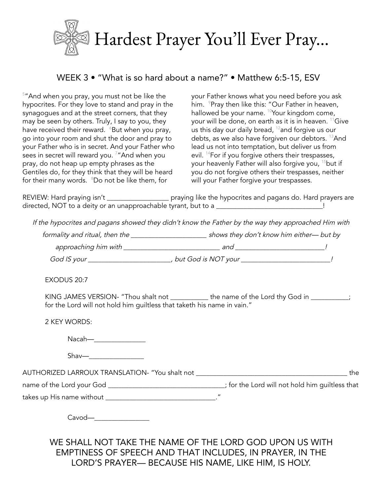

## WEEK 3 • "What is so hard about a name?" • Matthew 6:5-15, ESV

 $5"$ And when you pray, you must not be like the hypocrites. For they love to stand and pray in the synagogues and at the street corners, that they may be seen by others. Truly, I say to you, they have received their reward.  $\,{}^{\circ}$ But when you pray, go into your room and shut the door and pray to your Father who is in secret. And your Father who sees in secret will reward you. <sup>7</sup>"And when you pray, do not heap up empty phrases as the Gentiles do, for they think that they will be heard for their many words. <sup>8</sup>Do not be like them, for

your Father knows what you need before you ask him. <sup>9</sup>Pray then like this: "Our Father in heaven, hallowed be your name. <sup>10</sup>Your kingdom come, your will be done, on earth as it is in heaven. <sup>11</sup>Give us this day our daily bread,  $^{12}$ and forgive us our debts, as we also have forgiven our debtors. <sup>13</sup>And lead us not into temptation, but deliver us from evil. <sup>14</sup>For if you forgive others their trespasses, your heavenly Father will also forgive you, <sup>15</sup>but if you do not forgive others their trespasses, neither will your Father forgive your trespasses.

REVIEW: Hard praying isn't \_\_\_\_\_\_\_\_\_\_\_\_\_\_\_\_\_\_\_\_\_\_ praying like the hypocrites and pagans do. Hard prayers are directed, NOT to a deity or an unapproachable tyrant, but to a \_\_\_\_\_\_\_\_\_\_\_\_\_\_\_\_\_\_\_\_\_\_\_\_\_\_\_\_\_\_\_!

If the hypocrites and pagans showed they didn't know the Father by the way they approached Him with

formality and ritual, then the \_\_\_\_\_\_\_\_\_\_\_\_\_\_\_\_\_\_\_\_\_\_\_\_\_\_\_\_\_shows they don't know him either— but by approaching him with \_\_\_\_\_\_\_\_\_\_\_\_\_\_\_\_\_\_\_\_\_\_\_\_\_\_\_\_ and \_\_\_\_\_\_\_\_\_\_\_\_\_\_\_\_\_\_\_\_\_\_\_\_\_\_! God IS your \_\_\_\_\_\_\_\_\_\_\_\_\_\_\_\_\_\_\_\_\_\_\_\_, but God is NOT your \_\_\_\_\_\_\_\_\_\_\_\_\_\_\_\_\_\_\_\_\_\_\_!

EXODUS 20:7

KING JAMES VERSION- "Thou shalt not \_\_\_\_\_\_\_\_\_\_ the name of the Lord thy God in \_\_\_\_\_\_\_\_; for the Lord will not hold him guiltless that taketh his name in vain."

2 KEY WORDS:

Nacah—\_\_\_\_\_\_\_\_\_\_\_\_\_\_\_

 $Shav$ — $\Box$ 

AUTHORIZED LARROUX TRANSLATION- "You shalt not \_\_\_\_\_\_\_\_\_\_\_\_\_\_\_\_\_\_\_\_\_\_\_\_\_\_\_\_\_\_\_\_\_\_\_\_\_\_\_\_\_\_\_\_ the

name of the Lord your God \_\_\_\_\_\_\_\_\_\_\_\_\_\_\_\_\_\_\_\_\_\_\_\_\_\_\_\_\_\_; for the Lord will not hold him guiltless that

takes up His name without \_\_\_\_\_\_\_\_\_\_\_\_\_\_\_\_\_\_\_\_\_\_\_\_\_\_\_\_\_\_\_\_."

Cavod—\_\_\_\_\_\_\_\_\_\_\_\_\_\_\_\_

WE SHALL NOT TAKE THE NAME OF THE LORD GOD UPON US WITH EMPTINESS OF SPEECH AND THAT INCLUDES, IN PRAYER, IN THE LORD'S PRAYER— BECAUSE HIS NAME, LIKE HIM, IS HOLY.